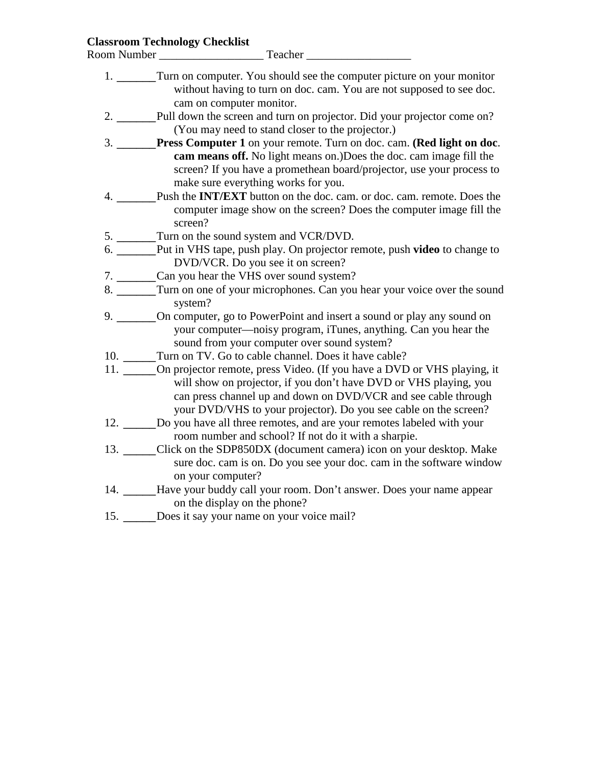#### **Classroom Technology Checklist**

Room Number \_\_\_\_\_\_\_\_\_\_\_\_\_\_\_\_\_\_ Teacher \_\_\_\_\_\_\_\_\_\_\_\_\_\_\_\_\_\_

- 1. \_\_\_\_\_\_Turn on computer. You should see the computer picture on your monitor without having to turn on doc. cam. You are not supposed to see doc. cam on computer monitor.
- 2. \_\_\_\_\_\_Pull down the screen and turn on projector. Did your projector come on? (You may need to stand closer to the projector.)
- 3. \_\_\_\_\_\_**Press Computer 1** on your remote. Turn on doc. cam. **(Red light on doc**. **cam means off.** No light means on.)Does the doc. cam image fill the screen? If you have a promethean board/projector, use your process to make sure everything works for you.
- 4. \_\_\_\_\_\_Push the **INT/EXT** button on the doc. cam. or doc. cam. remote. Does the computer image show on the screen? Does the computer image fill the screen?
- 5. Turn on the sound system and VCR/DVD.
- 6. \_\_\_\_\_\_Put in VHS tape, push play. On projector remote, push **video** to change to DVD/VCR. Do you see it on screen?
- 7. \_\_\_\_\_\_Can you hear the VHS over sound system?
- 8. \_\_\_\_\_\_Turn on one of your microphones. Can you hear your voice over the sound system?
- 9. \_\_\_\_\_\_On computer, go to PowerPoint and insert a sound or play any sound on your computer—noisy program, iTunes, anything. Can you hear the sound from your computer over sound system?
- 10. Turn on TV. Go to cable channel. Does it have cable?
- 11. \_\_\_\_\_On projector remote, press Video. (If you have a DVD or VHS playing, it will show on projector, if you don't have DVD or VHS playing, you can press channel up and down on DVD/VCR and see cable through your DVD/VHS to your projector). Do you see cable on the screen?
- 12. \_\_\_\_\_Do you have all three remotes, and are your remotes labeled with your room number and school? If not do it with a sharpie.
- 13. \_\_\_\_\_Click on the SDP850DX (document camera) icon on your desktop. Make sure doc. cam is on. Do you see your doc. cam in the software window on your computer?
- 14. \_\_\_\_\_Have your buddy call your room. Don't answer. Does your name appear on the display on the phone?
- 15. \_\_\_\_\_Does it say your name on your voice mail?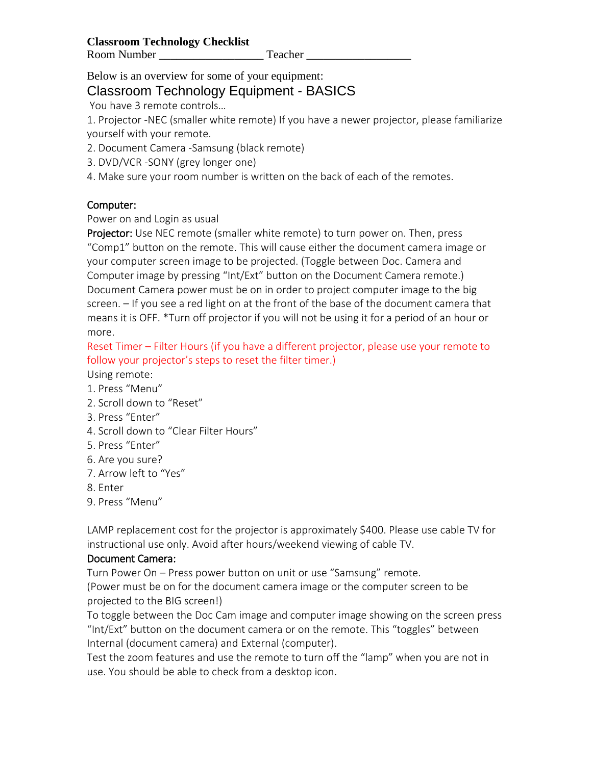Below is an overview for some of your equipment:

# Classroom Technology Equipment - BASICS

You have 3 remote controls…

1. Projector -NEC (smaller white remote) If you have a newer projector, please familiarize yourself with your remote.

2. Document Camera -Samsung (black remote)

- 3. DVD/VCR -SONY (grey longer one)
- 4. Make sure your room number is written on the back of each of the remotes.

# Computer:

### Power on and Login as usual

Projector: Use NEC remote (smaller white remote) to turn power on. Then, press "Comp1" button on the remote. This will cause either the document camera image or your computer screen image to be projected. (Toggle between Doc. Camera and Computer image by pressing "Int/Ext" button on the Document Camera remote.) Document Camera power must be on in order to project computer image to the big screen. – If you see a red light on at the front of the base of the document camera that means it is OFF. \*Turn off projector if you will not be using it for a period of an hour or more.

Reset Timer – Filter Hours (if you have a different projector, please use your remote to follow your projector's steps to reset the filter timer.)

Using remote:

- 1. Press "Menu"
- 2. Scroll down to "Reset"
- 3. Press "Enter"
- 4. Scroll down to "Clear Filter Hours"
- 5. Press "Enter"
- 6. Are you sure?
- 7. Arrow left to "Yes"
- 8. Enter
- 9. Press "Menu"

LAMP replacement cost for the projector is approximately \$400. Please use cable TV for instructional use only. Avoid after hours/weekend viewing of cable TV.

# Document Camera:

Turn Power On – Press power button on unit or use "Samsung" remote.

(Power must be on for the document camera image or the computer screen to be projected to the BIG screen!)

To toggle between the Doc Cam image and computer image showing on the screen press "Int/Ext" button on the document camera or on the remote. This "toggles" between Internal (document camera) and External (computer).

Test the zoom features and use the remote to turn off the "lamp" when you are not in use. You should be able to check from a desktop icon.